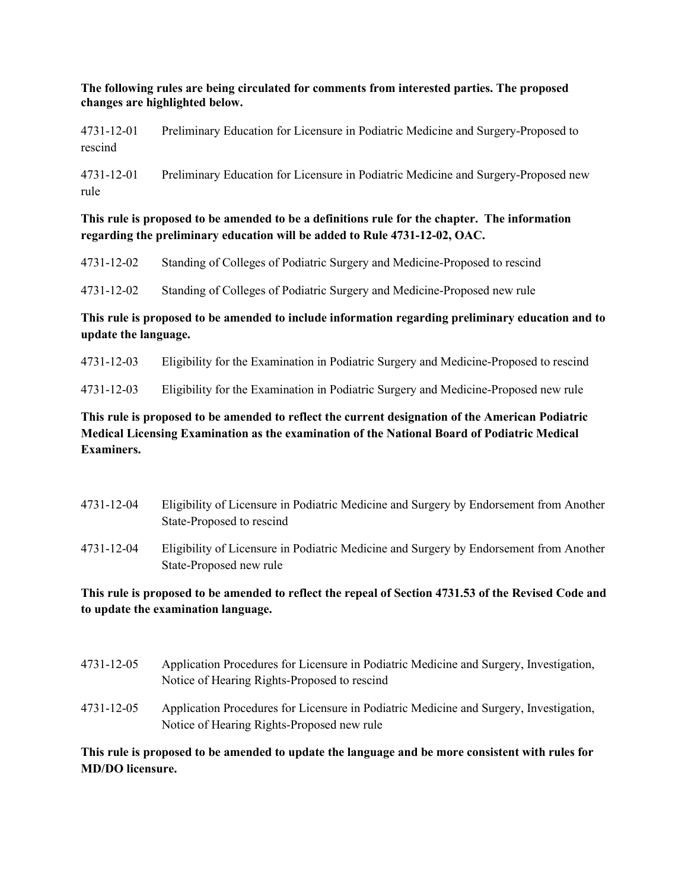**The following rules are being circulated for comments from interested parties. The proposed changes are highlighted below.**

4731-12-01 Preliminary Education for Licensure in Podiatric Medicine and Surgery-Proposed to rescind

4731-12-01 Preliminary Education for Licensure in Podiatric Medicine and Surgery-Proposed new rule

**This rule is proposed to be amended to be a definitions rule for the chapter. The information regarding the preliminary education will be added to Rule 4731-12-02, OAC.**

4731-12-02 Standing of Colleges of Podiatric Surgery and Medicine-Proposed to rescind

4731-12-02 Standing of Colleges of Podiatric Surgery and Medicine-Proposed new rule

**This rule is proposed to be amended to include information regarding preliminary education and to update the language.**

4731-12-03 Eligibility for the Examination in Podiatric Surgery and Medicine-Proposed to rescind

4731-12-03 Eligibility for the Examination in Podiatric Surgery and Medicine-Proposed new rule

**This rule is proposed to be amended to reflect the current designation of the American Podiatric Medical Licensing Examination as the examination of the National Board of Podiatric Medical Examiners.**

- 4731-12-04 Eligibility of Licensure in Podiatric Medicine and Surgery by Endorsement from Another State-Proposed to rescind
- 4731-12-04 Eligibility of Licensure in Podiatric Medicine and Surgery by Endorsement from Another State-Proposed new rule

**This rule is proposed to be amended to reflect the repeal of Section 4731.53 of the Revised Code and to update the examination language.**

- 4731-12-05 Application Procedures for Licensure in Podiatric Medicine and Surgery, Investigation, Notice of Hearing Rights-Proposed to rescind
- 4731-12-05 Application Procedures for Licensure in Podiatric Medicine and Surgery, Investigation, Notice of Hearing Rights-Proposed new rule

**This rule is proposed to be amended to update the language and be more consistent with rules for MD/DO licensure.**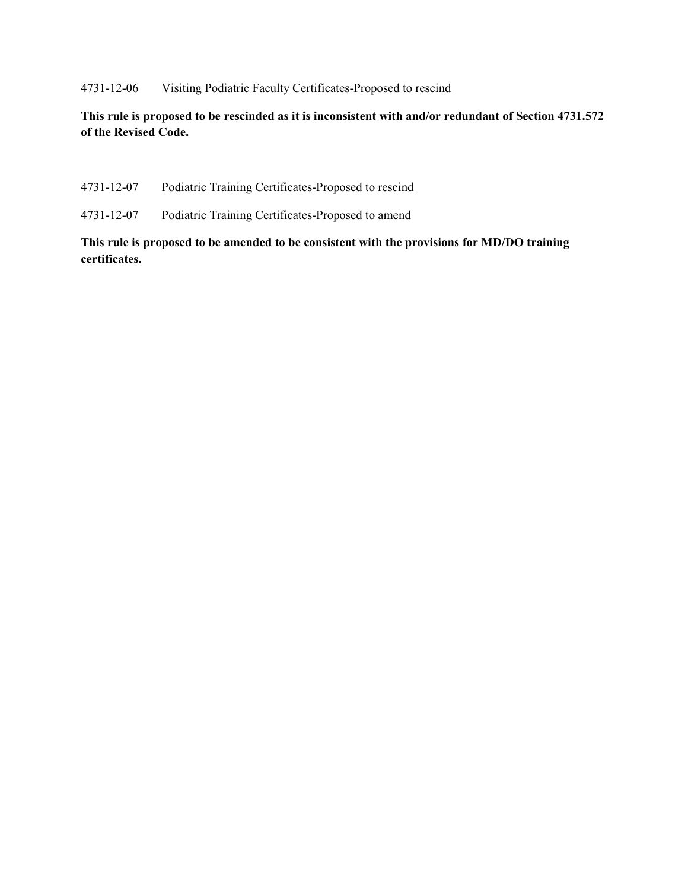4731-12-06 Visiting Podiatric Faculty Certificates-Proposed to rescind

**This rule is proposed to be rescinded as it is inconsistent with and/or redundant of Section 4731.572 of the Revised Code.** 

- 4731-12-07 Podiatric Training Certificates-Proposed to rescind
- 4731-12-07 Podiatric Training Certificates-Proposed to amend

**This rule is proposed to be amended to be consistent with the provisions for MD/DO training certificates.**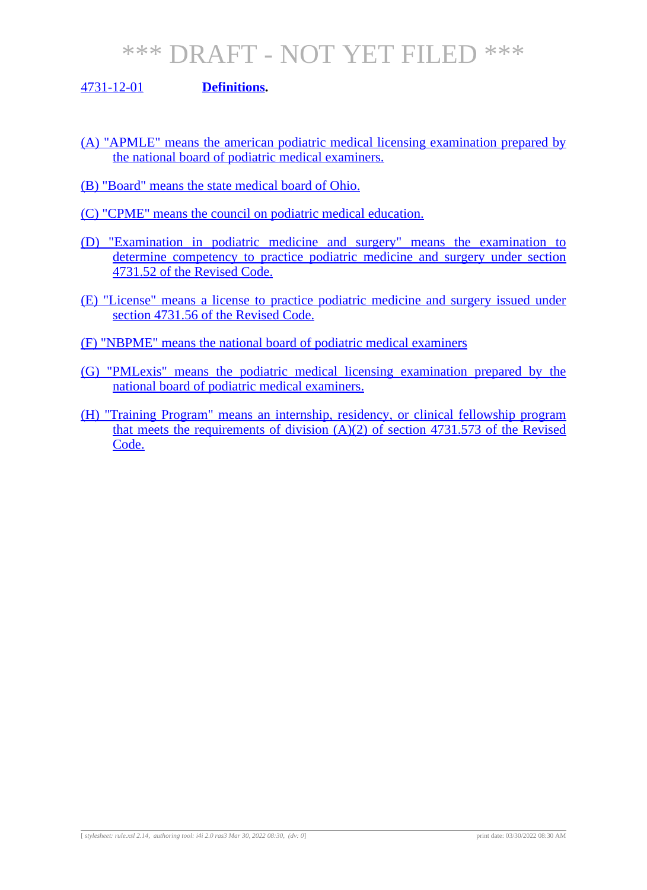### 4731-12-01 **Definitions.**

- (A) "APMLE" means the american podiatric medical licensing examination prepared by the national board of podiatric medical examiners.
- (B) "Board" means the state medical board of Ohio.
- (C) "CPME" means the council on podiatric medical education.
- (D) "Examination in podiatric medicine and surgery" means the examination to determine competency to practice podiatric medicine and surgery under section 4731.52 of the Revised Code.
- (E) "License" means a license to practice podiatric medicine and surgery issued under section 4731.56 of the Revised Code.
- (F) "NBPME" means the national board of podiatric medical examiners
- (G) "PMLexis" means the podiatric medical licensing examination prepared by the national board of podiatric medical examiners.
- (H) "Training Program" means an internship, residency, or clinical fellowship program that meets the requirements of division  $(A)(2)$  of section 4731.573 of the Revised Code.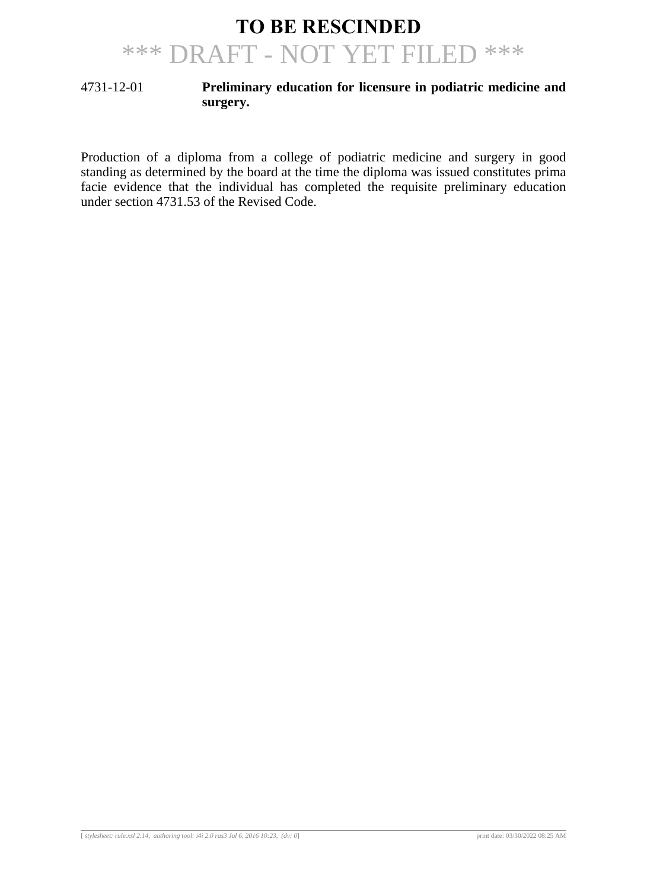#### 4731-12-01 **Preliminary education for licensure in podiatric medicine and surgery.**

Production of a diploma from a college of podiatric medicine and surgery in good standing as determined by the board at the time the diploma was issued constitutes prima facie evidence that the individual has completed the requisite preliminary education under section 4731.53 of the Revised Code.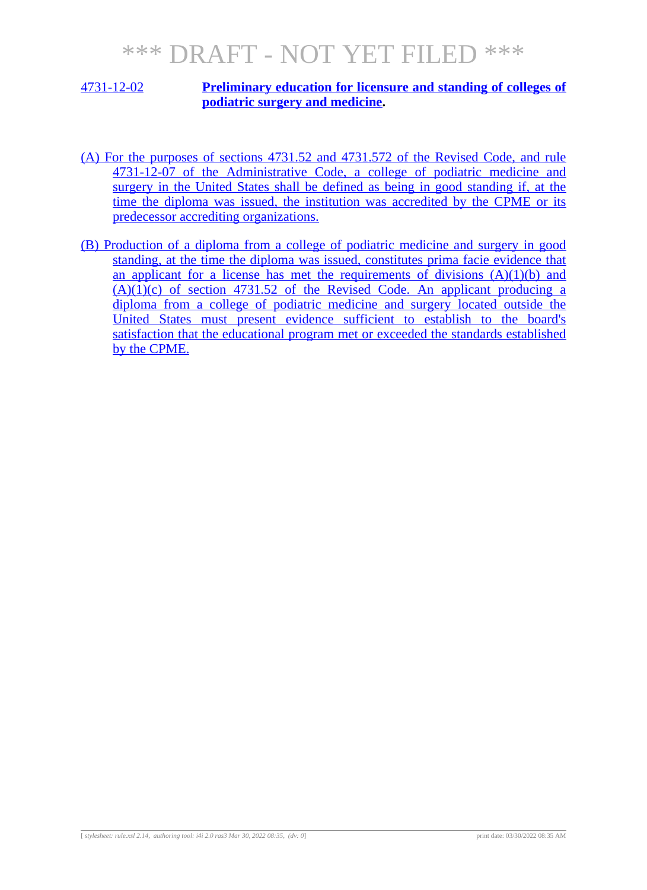#### 4731-12-02 **Preliminary education for licensure and standing of colleges of podiatric surgery and medicine.**

- (A) For the purposes of sections 4731.52 and 4731.572 of the Revised Code, and rule 4731-12-07 of the Administrative Code, a college of podiatric medicine and surgery in the United States shall be defined as being in good standing if, at the time the diploma was issued, the institution was accredited by the CPME or its predecessor accrediting organizations.
- (B) Production of a diploma from a college of podiatric medicine and surgery in good standing, at the time the diploma was issued, constitutes prima facie evidence that an applicant for a license has met the requirements of divisions  $(A)(1)(b)$  and  $(A)(1)(c)$  of section 4731.52 of the Revised Code. An applicant producing a diploma from a college of podiatric medicine and surgery located outside the United States must present evidence sufficient to establish to the board's satisfaction that the educational program met or exceeded the standards established by the CPME.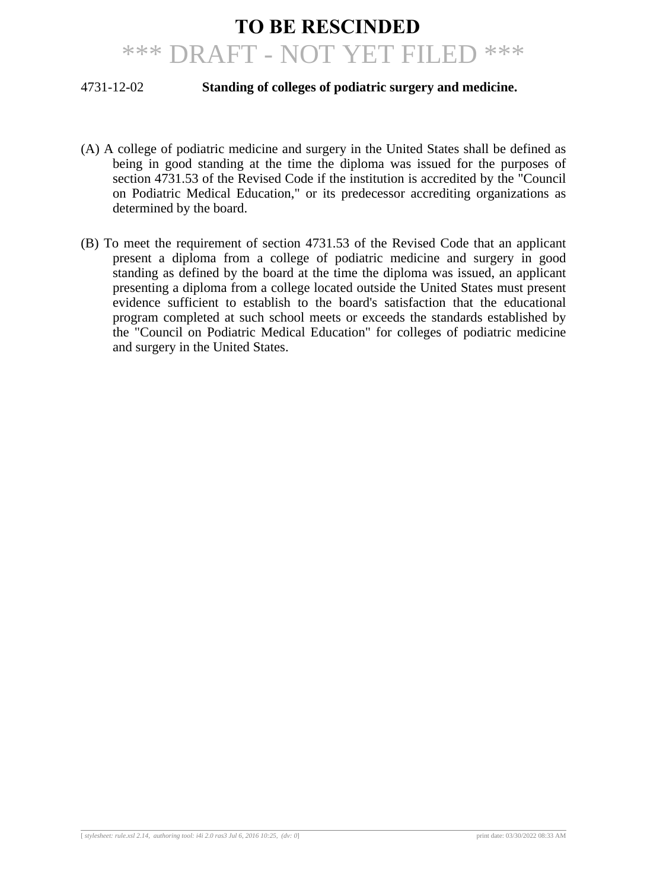#### 4731-12-02 **Standing of colleges of podiatric surgery and medicine.**

- (A) A college of podiatric medicine and surgery in the United States shall be defined as being in good standing at the time the diploma was issued for the purposes of section 4731.53 of the Revised Code if the institution is accredited by the "Council on Podiatric Medical Education," or its predecessor accrediting organizations as determined by the board.
- (B) To meet the requirement of section 4731.53 of the Revised Code that an applicant present a diploma from a college of podiatric medicine and surgery in good standing as defined by the board at the time the diploma was issued, an applicant presenting a diploma from a college located outside the United States must present evidence sufficient to establish to the board's satisfaction that the educational program completed at such school meets or exceeds the standards established by the "Council on Podiatric Medical Education" for colleges of podiatric medicine and surgery in the United States.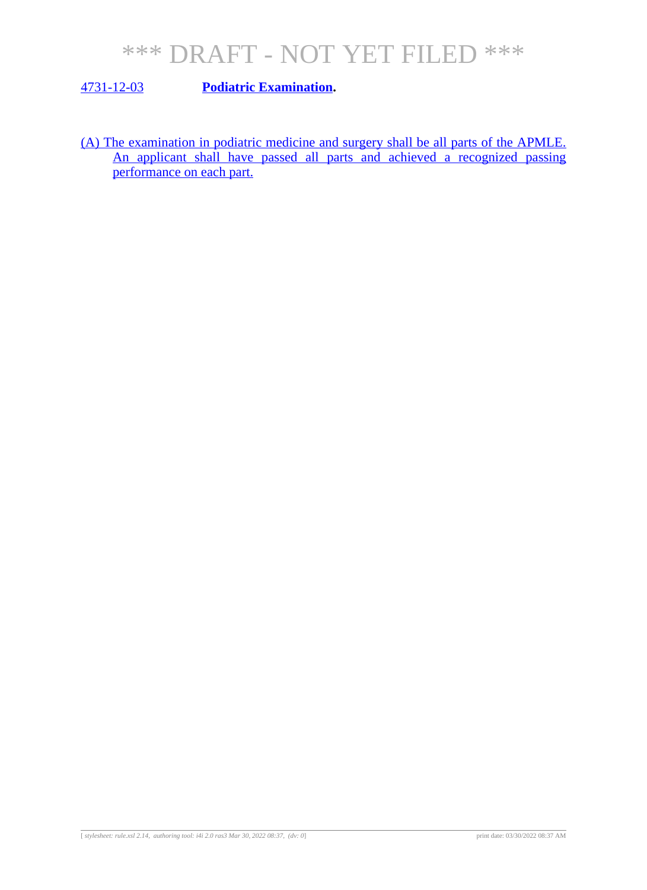4731-12-03 **Podiatric Examination.**

(A) The examination in podiatric medicine and surgery shall be all parts of the APMLE. An applicant shall have passed all parts and achieved a recognized passing performance on each part.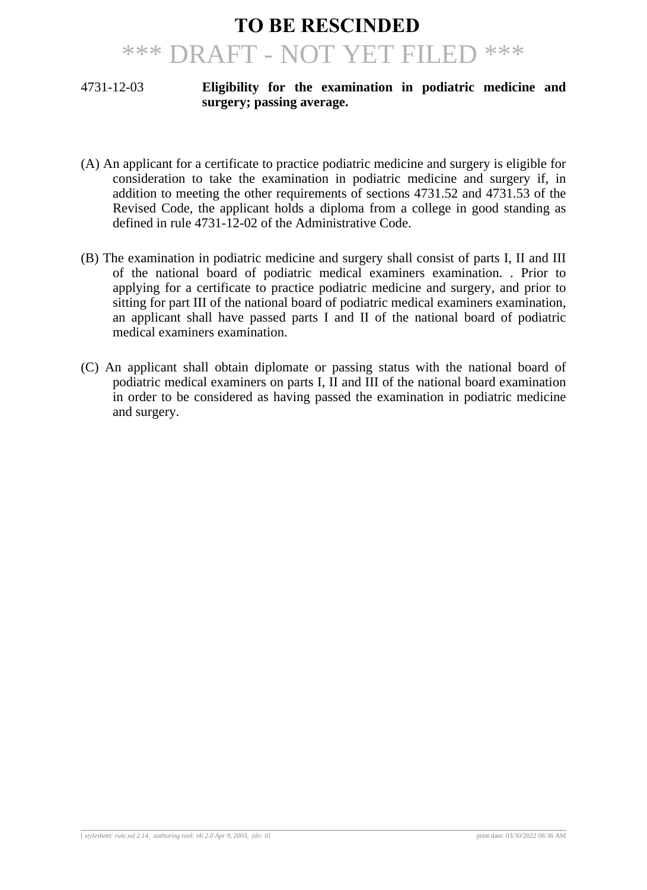#### 4731-12-03 **Eligibility for the examination in podiatric medicine and surgery; passing average.**

- (A) An applicant for a certificate to practice podiatric medicine and surgery is eligible for consideration to take the examination in podiatric medicine and surgery if, in addition to meeting the other requirements of sections 4731.52 and 4731.53 of the Revised Code, the applicant holds a diploma from a college in good standing as defined in rule 4731-12-02 of the Administrative Code.
- (B) The examination in podiatric medicine and surgery shall consist of parts I, II and III of the national board of podiatric medical examiners examination. . Prior to applying for a certificate to practice podiatric medicine and surgery, and prior to sitting for part III of the national board of podiatric medical examiners examination, an applicant shall have passed parts I and II of the national board of podiatric medical examiners examination.
- (C) An applicant shall obtain diplomate or passing status with the national board of podiatric medical examiners on parts I, II and III of the national board examination in order to be considered as having passed the examination in podiatric medicine and surgery.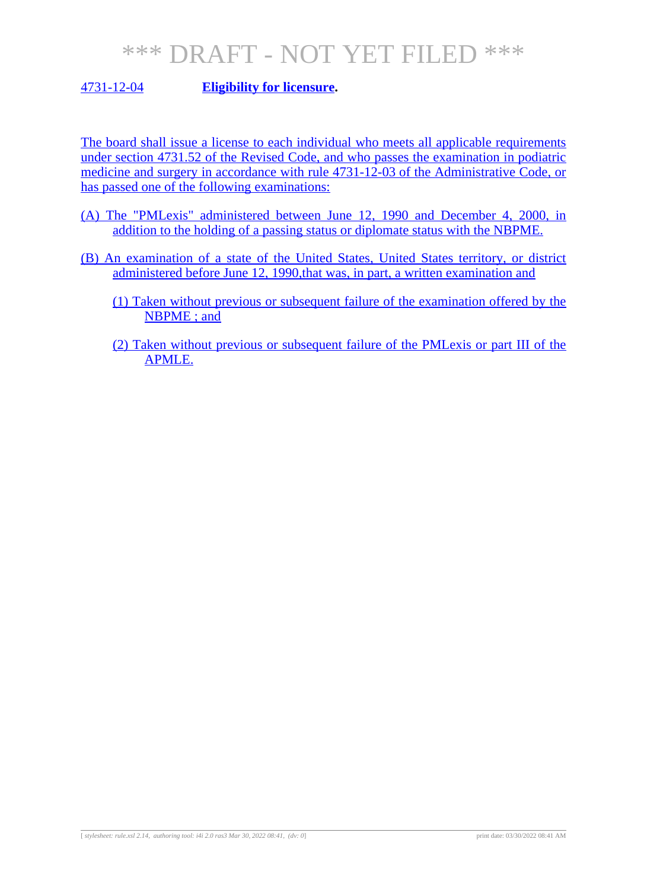### 4731-12-04 **Eligibility for licensure.**

The board shall issue a license to each individual who meets all applicable requirements under section 4731.52 of the Revised Code, and who passes the examination in podiatric medicine and surgery in accordance with rule 4731-12-03 of the Administrative Code, or has passed one of the following examinations:

- (A) The "PMLexis" administered between June 12, 1990 and December 4, 2000, in addition to the holding of a passing status or diplomate status with the NBPME.
- (B) An examination of a state of the United States, United States territory, or district administered before June 12, 1990,that was, in part, a written examination and
	- (1) Taken without previous or subsequent failure of the examination offered by the NBPME ; and
	- (2) Taken without previous or subsequent failure of the PMLexis or part III of the APMLE.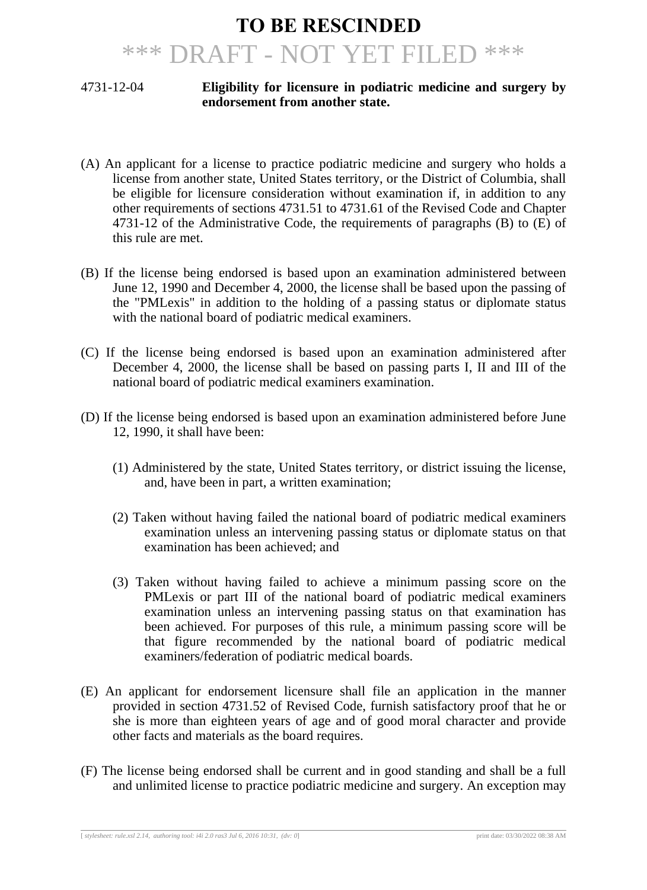#### 4731-12-04 **Eligibility for licensure in podiatric medicine and surgery by endorsement from another state.**

- (A) An applicant for a license to practice podiatric medicine and surgery who holds a license from another state, United States territory, or the District of Columbia, shall be eligible for licensure consideration without examination if, in addition to any other requirements of sections 4731.51 to 4731.61 of the Revised Code and Chapter 4731-12 of the Administrative Code, the requirements of paragraphs (B) to (E) of this rule are met.
- (B) If the license being endorsed is based upon an examination administered between June 12, 1990 and December 4, 2000, the license shall be based upon the passing of the "PMLexis" in addition to the holding of a passing status or diplomate status with the national board of podiatric medical examiners.
- (C) If the license being endorsed is based upon an examination administered after December 4, 2000, the license shall be based on passing parts I, II and III of the national board of podiatric medical examiners examination.
- (D) If the license being endorsed is based upon an examination administered before June 12, 1990, it shall have been:
	- (1) Administered by the state, United States territory, or district issuing the license, and, have been in part, a written examination;
	- (2) Taken without having failed the national board of podiatric medical examiners examination unless an intervening passing status or diplomate status on that examination has been achieved; and
	- (3) Taken without having failed to achieve a minimum passing score on the PMLexis or part III of the national board of podiatric medical examiners examination unless an intervening passing status on that examination has been achieved. For purposes of this rule, a minimum passing score will be that figure recommended by the national board of podiatric medical examiners/federation of podiatric medical boards.
- (E) An applicant for endorsement licensure shall file an application in the manner provided in section 4731.52 of Revised Code, furnish satisfactory proof that he or she is more than eighteen years of age and of good moral character and provide other facts and materials as the board requires.
- (F) The license being endorsed shall be current and in good standing and shall be a full and unlimited license to practice podiatric medicine and surgery. An exception may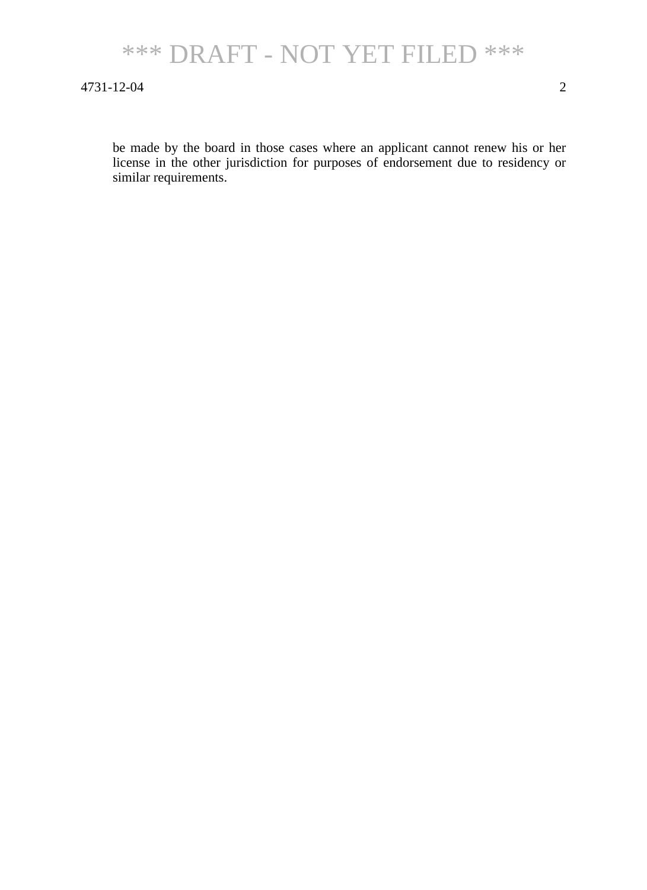#### 4731-12-04 2

be made by the board in those cases where an applicant cannot renew his or her license in the other jurisdiction for purposes of endorsement due to residency or similar requirements.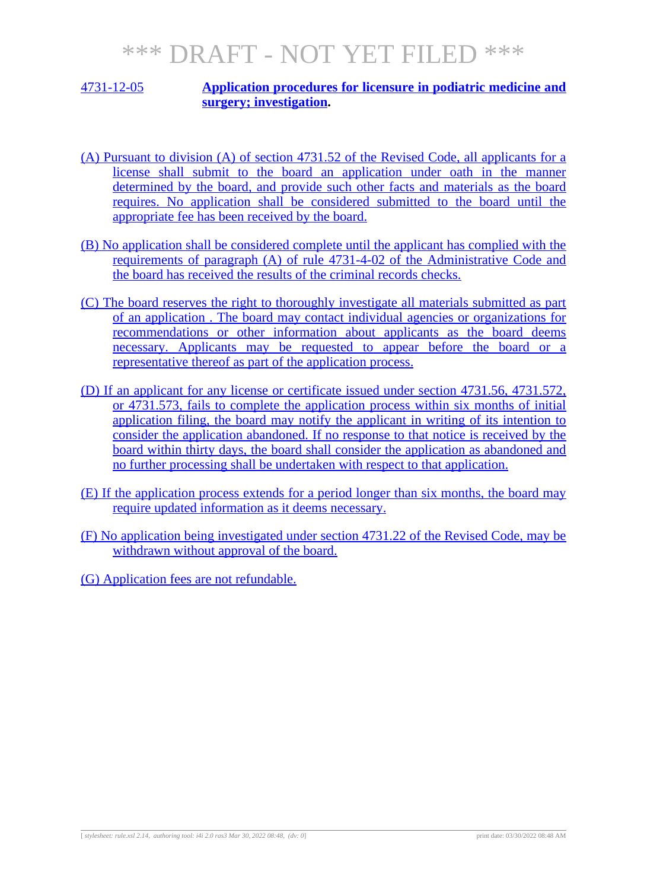#### 4731-12-05 **Application procedures for licensure in podiatric medicine and surgery; investigation.**

- (A) Pursuant to division (A) of section 4731.52 of the Revised Code, all applicants for a license shall submit to the board an application under oath in the manner determined by the board, and provide such other facts and materials as the board requires. No application shall be considered submitted to the board until the appropriate fee has been received by the board.
- (B) No application shall be considered complete until the applicant has complied with the requirements of paragraph (A) of rule 4731-4-02 of the Administrative Code and the board has received the results of the criminal records checks.
- (C) The board reserves the right to thoroughly investigate all materials submitted as part of an application . The board may contact individual agencies or organizations for recommendations or other information about applicants as the board deems necessary. Applicants may be requested to appear before the board or a representative thereof as part of the application process.
- (D) If an applicant for any license or certificate issued under section 4731.56, 4731.572, or 4731.573, fails to complete the application process within six months of initial application filing, the board may notify the applicant in writing of its intention to consider the application abandoned. If no response to that notice is received by the board within thirty days, the board shall consider the application as abandoned and no further processing shall be undertaken with respect to that application.
- (E) If the application process extends for a period longer than six months, the board may require updated information as it deems necessary.
- (F) No application being investigated under section 4731.22 of the Revised Code, may be withdrawn without approval of the board.

(G) Application fees are not refundable.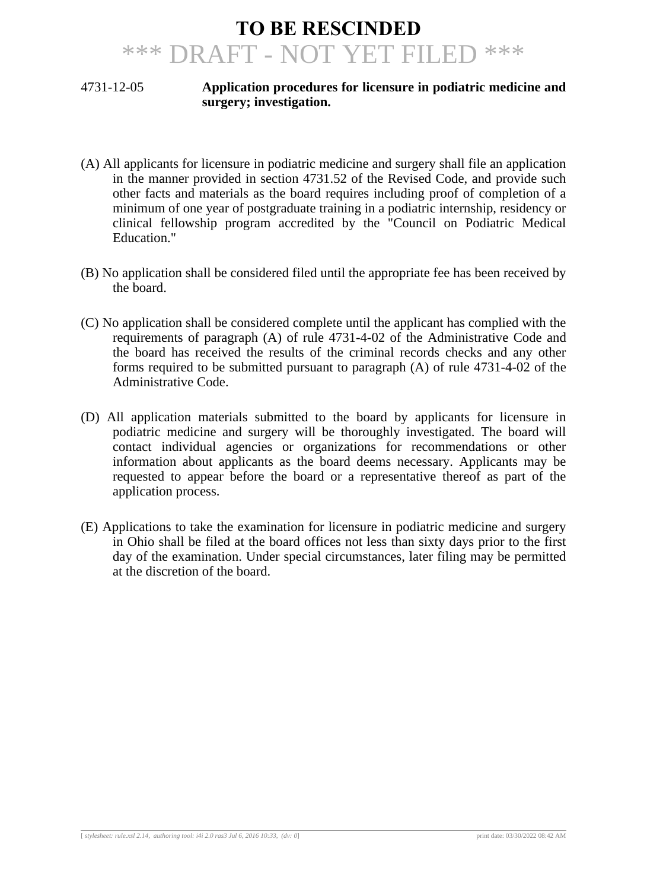#### 4731-12-05 **Application procedures for licensure in podiatric medicine and surgery; investigation.**

- (A) All applicants for licensure in podiatric medicine and surgery shall file an application in the manner provided in section 4731.52 of the Revised Code, and provide such other facts and materials as the board requires including proof of completion of a minimum of one year of postgraduate training in a podiatric internship, residency or clinical fellowship program accredited by the "Council on Podiatric Medical Education."
- (B) No application shall be considered filed until the appropriate fee has been received by the board.
- (C) No application shall be considered complete until the applicant has complied with the requirements of paragraph (A) of rule 4731-4-02 of the Administrative Code and the board has received the results of the criminal records checks and any other forms required to be submitted pursuant to paragraph (A) of rule 4731-4-02 of the Administrative Code.
- (D) All application materials submitted to the board by applicants for licensure in podiatric medicine and surgery will be thoroughly investigated. The board will contact individual agencies or organizations for recommendations or other information about applicants as the board deems necessary. Applicants may be requested to appear before the board or a representative thereof as part of the application process.
- (E) Applications to take the examination for licensure in podiatric medicine and surgery in Ohio shall be filed at the board offices not less than sixty days prior to the first day of the examination. Under special circumstances, later filing may be permitted at the discretion of the board.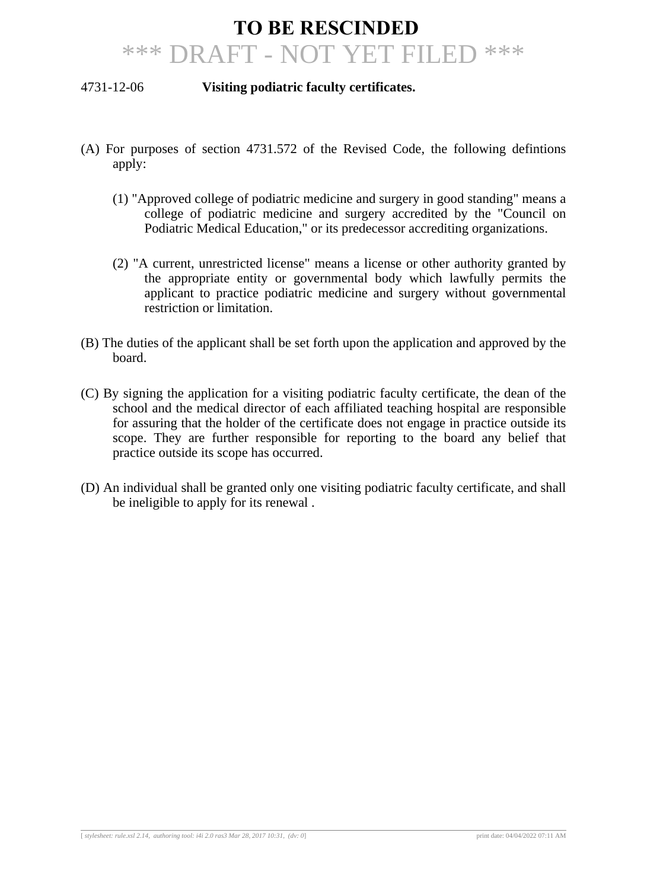#### 4731-12-06 **Visiting podiatric faculty certificates.**

- (A) For purposes of section 4731.572 of the Revised Code, the following defintions apply:
	- (1) "Approved college of podiatric medicine and surgery in good standing" means a college of podiatric medicine and surgery accredited by the "Council on Podiatric Medical Education," or its predecessor accrediting organizations.
	- (2) "A current, unrestricted license" means a license or other authority granted by the appropriate entity or governmental body which lawfully permits the applicant to practice podiatric medicine and surgery without governmental restriction or limitation.
- (B) The duties of the applicant shall be set forth upon the application and approved by the board.
- (C) By signing the application for a visiting podiatric faculty certificate, the dean of the school and the medical director of each affiliated teaching hospital are responsible for assuring that the holder of the certificate does not engage in practice outside its scope. They are further responsible for reporting to the board any belief that practice outside its scope has occurred.
- (D) An individual shall be granted only one visiting podiatric faculty certificate, and shall be ineligible to apply for its renewal .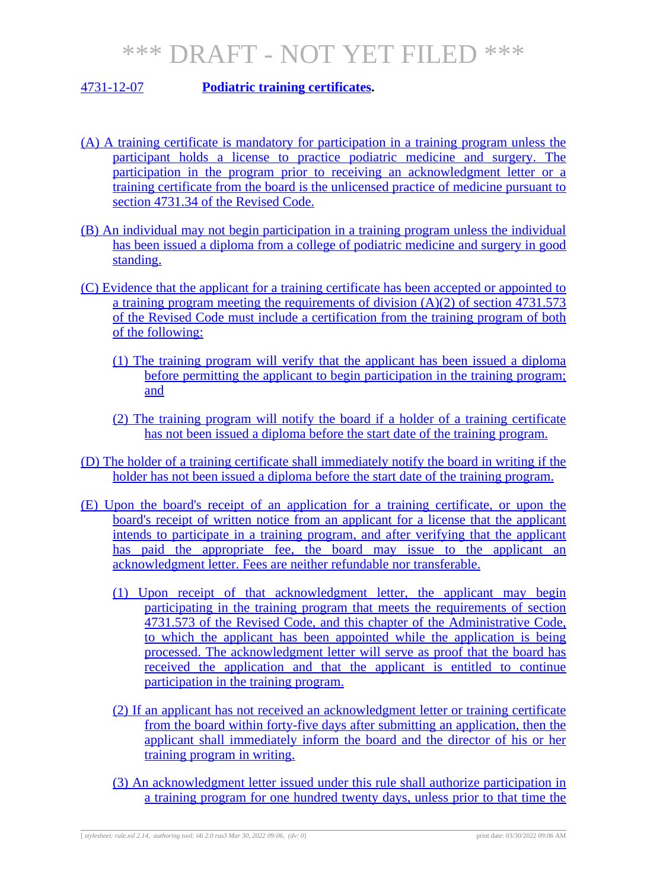### 4731-12-07 **Podiatric training certificates.**

- (A) A training certificate is mandatory for participation in a training program unless the participant holds a license to practice podiatric medicine and surgery. The participation in the program prior to receiving an acknowledgment letter or a training certificate from the board is the unlicensed practice of medicine pursuant to section 4731.34 of the Revised Code.
- (B) An individual may not begin participation in a training program unless the individual has been issued a diploma from a college of podiatric medicine and surgery in good standing.
- (C) Evidence that the applicant for a training certificate has been accepted or appointed to a training program meeting the requirements of division  $(A)(2)$  of section 4731.573 of the Revised Code must include a certification from the training program of both of the following:
	- (1) The training program will verify that the applicant has been issued a diploma before permitting the applicant to begin participation in the training program; and
	- (2) The training program will notify the board if a holder of a training certificate has not been issued a diploma before the start date of the training program.
- (D) The holder of a training certificate shall immediately notify the board in writing if the holder has not been issued a diploma before the start date of the training program.
- (E) Upon the board's receipt of an application for a training certificate, or upon the board's receipt of written notice from an applicant for a license that the applicant intends to participate in a training program, and after verifying that the applicant has paid the appropriate fee, the board may issue to the applicant an acknowledgment letter. Fees are neither refundable nor transferable.
	- (1) Upon receipt of that acknowledgment letter, the applicant may begin participating in the training program that meets the requirements of section 4731.573 of the Revised Code, and this chapter of the Administrative Code, to which the applicant has been appointed while the application is being processed. The acknowledgment letter will serve as proof that the board has received the application and that the applicant is entitled to continue participation in the training program.
	- (2) If an applicant has not received an acknowledgment letter or training certificate from the board within forty-five days after submitting an application, then the applicant shall immediately inform the board and the director of his or her training program in writing.
	- (3) An acknowledgment letter issued under this rule shall authorize participation in a training program for one hundred twenty days, unless prior to that time the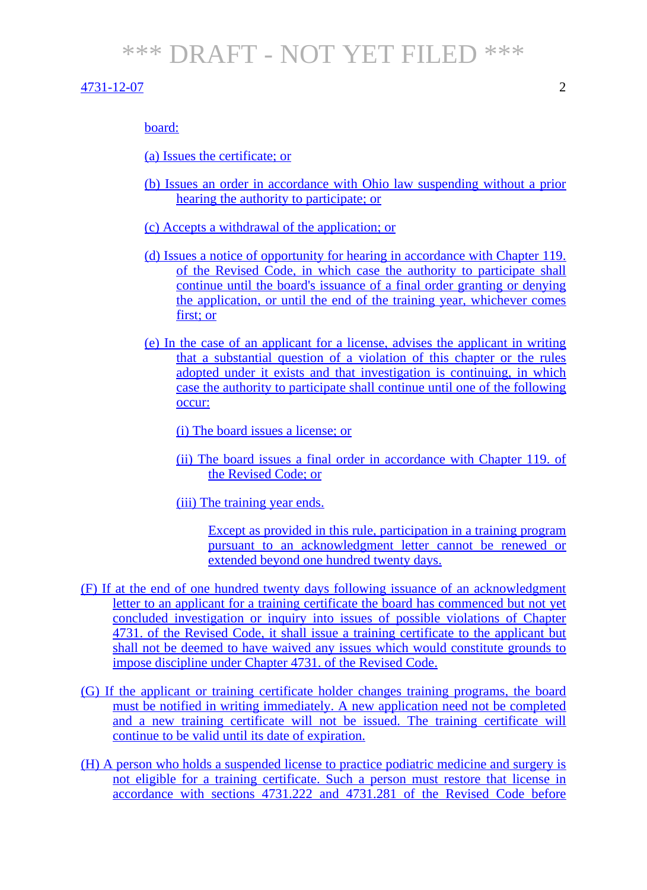#### 4731-12-07 2

board:

(a) Issues the certificate; or

- (b) Issues an order in accordance with Ohio law suspending without a prior hearing the authority to participate; or
- (c) Accepts a withdrawal of the application; or
- (d) Issues a notice of opportunity for hearing in accordance with Chapter 119. of the Revised Code, in which case the authority to participate shall continue until the board's issuance of a final order granting or denying the application, or until the end of the training year, whichever comes first; or
- (e) In the case of an applicant for a license, advises the applicant in writing that a substantial question of a violation of this chapter or the rules adopted under it exists and that investigation is continuing, in which case the authority to participate shall continue until one of the following occur:

(i) The board issues a license; or

(ii) The board issues a final order in accordance with Chapter 119. of the Revised Code; or

(iii) The training year ends.

Except as provided in this rule, participation in a training program pursuant to an acknowledgment letter cannot be renewed or extended beyond one hundred twenty days.

- (F) If at the end of one hundred twenty days following issuance of an acknowledgment letter to an applicant for a training certificate the board has commenced but not yet concluded investigation or inquiry into issues of possible violations of Chapter 4731. of the Revised Code, it shall issue a training certificate to the applicant but shall not be deemed to have waived any issues which would constitute grounds to impose discipline under Chapter 4731. of the Revised Code.
- (G) If the applicant or training certificate holder changes training programs, the board must be notified in writing immediately. A new application need not be completed and a new training certificate will not be issued. The training certificate will continue to be valid until its date of expiration.
- (H) A person who holds a suspended license to practice podiatric medicine and surgery is not eligible for a training certificate. Such a person must restore that license in accordance with sections 4731.222 and 4731.281 of the Revised Code before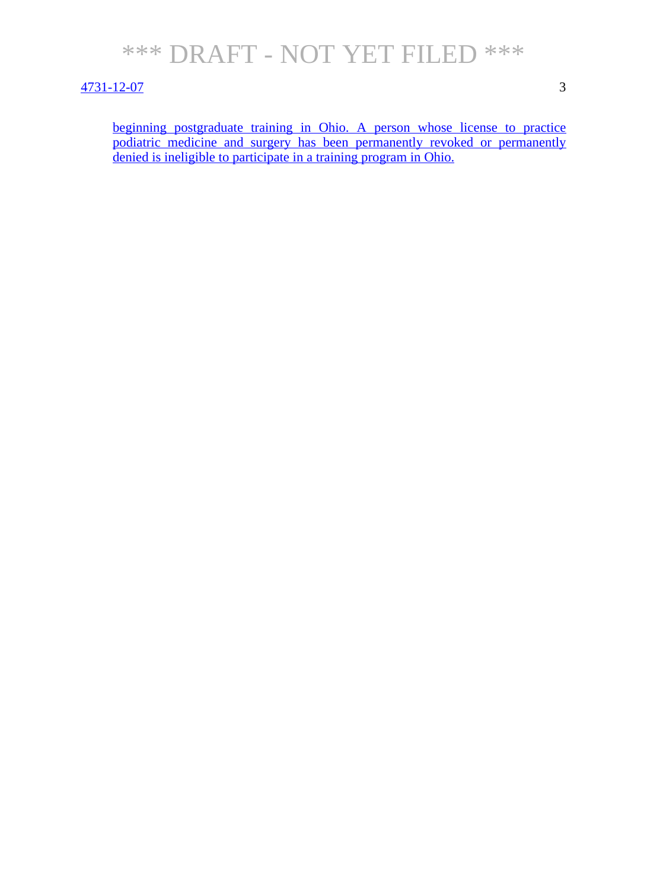#### 4731-12-07 3

beginning postgraduate training in Ohio. A person whose license to practice podiatric medicine and surgery has been permanently revoked or permanently denied is ineligible to participate in a training program in Ohio.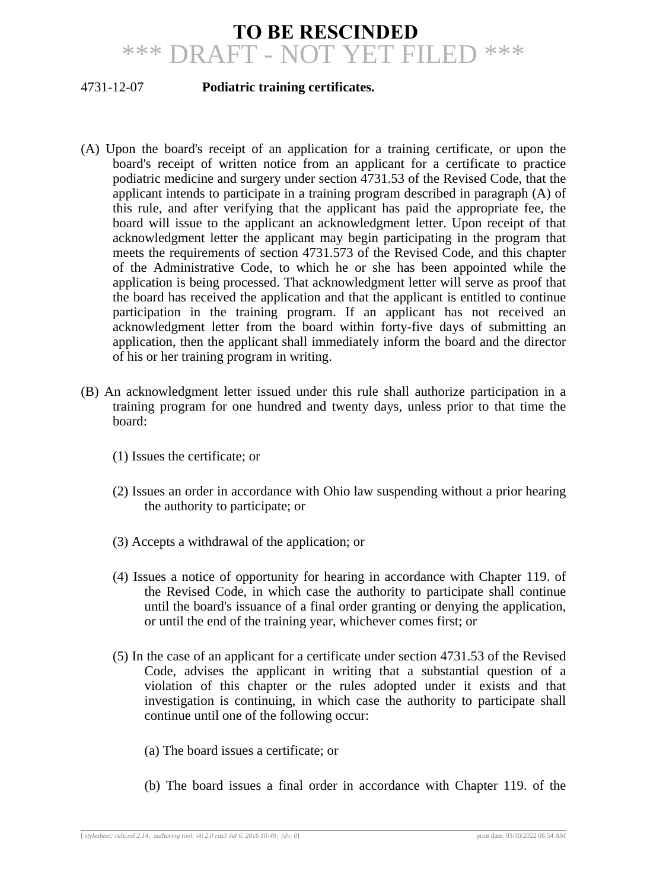#### 4731-12-07 **Podiatric training certificates.**

- (A) Upon the board's receipt of an application for a training certificate, or upon the board's receipt of written notice from an applicant for a certificate to practice podiatric medicine and surgery under section 4731.53 of the Revised Code, that the applicant intends to participate in a training program described in paragraph (A) of this rule, and after verifying that the applicant has paid the appropriate fee, the board will issue to the applicant an acknowledgment letter. Upon receipt of that acknowledgment letter the applicant may begin participating in the program that meets the requirements of section 4731.573 of the Revised Code, and this chapter of the Administrative Code, to which he or she has been appointed while the application is being processed. That acknowledgment letter will serve as proof that the board has received the application and that the applicant is entitled to continue participation in the training program. If an applicant has not received an acknowledgment letter from the board within forty-five days of submitting an application, then the applicant shall immediately inform the board and the director of his or her training program in writing.
- (B) An acknowledgment letter issued under this rule shall authorize participation in a training program for one hundred and twenty days, unless prior to that time the board:
	- (1) Issues the certificate; or
	- (2) Issues an order in accordance with Ohio law suspending without a prior hearing the authority to participate; or
	- (3) Accepts a withdrawal of the application; or
	- (4) Issues a notice of opportunity for hearing in accordance with Chapter 119. of the Revised Code, in which case the authority to participate shall continue until the board's issuance of a final order granting or denying the application, or until the end of the training year, whichever comes first; or
	- (5) In the case of an applicant for a certificate under section 4731.53 of the Revised Code, advises the applicant in writing that a substantial question of a violation of this chapter or the rules adopted under it exists and that investigation is continuing, in which case the authority to participate shall continue until one of the following occur:
		- (a) The board issues a certificate; or
		- (b) The board issues a final order in accordance with Chapter 119. of the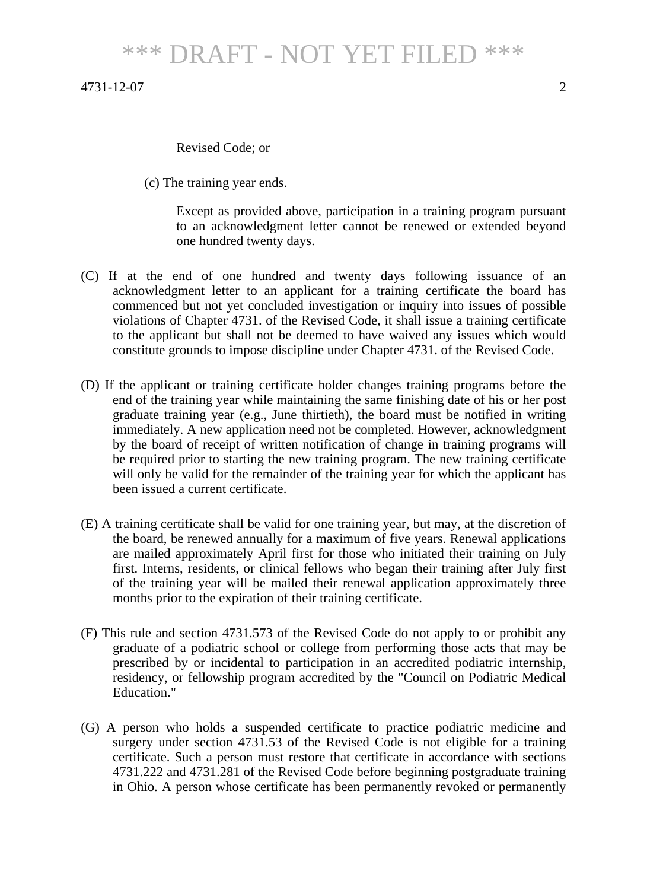Revised Code; or

(c) The training year ends.

Except as provided above, participation in a training program pursuant to an acknowledgment letter cannot be renewed or extended beyond one hundred twenty days.

- (C) If at the end of one hundred and twenty days following issuance of an acknowledgment letter to an applicant for a training certificate the board has commenced but not yet concluded investigation or inquiry into issues of possible violations of Chapter 4731. of the Revised Code, it shall issue a training certificate to the applicant but shall not be deemed to have waived any issues which would constitute grounds to impose discipline under Chapter 4731. of the Revised Code.
- (D) If the applicant or training certificate holder changes training programs before the end of the training year while maintaining the same finishing date of his or her post graduate training year (e.g., June thirtieth), the board must be notified in writing immediately. A new application need not be completed. However, acknowledgment by the board of receipt of written notification of change in training programs will be required prior to starting the new training program. The new training certificate will only be valid for the remainder of the training year for which the applicant has been issued a current certificate.
- (E) A training certificate shall be valid for one training year, but may, at the discretion of the board, be renewed annually for a maximum of five years. Renewal applications are mailed approximately April first for those who initiated their training on July first. Interns, residents, or clinical fellows who began their training after July first of the training year will be mailed their renewal application approximately three months prior to the expiration of their training certificate.
- (F) This rule and section 4731.573 of the Revised Code do not apply to or prohibit any graduate of a podiatric school or college from performing those acts that may be prescribed by or incidental to participation in an accredited podiatric internship, residency, or fellowship program accredited by the "Council on Podiatric Medical Education."
- (G) A person who holds a suspended certificate to practice podiatric medicine and surgery under section 4731.53 of the Revised Code is not eligible for a training certificate. Such a person must restore that certificate in accordance with sections 4731.222 and 4731.281 of the Revised Code before beginning postgraduate training in Ohio. A person whose certificate has been permanently revoked or permanently